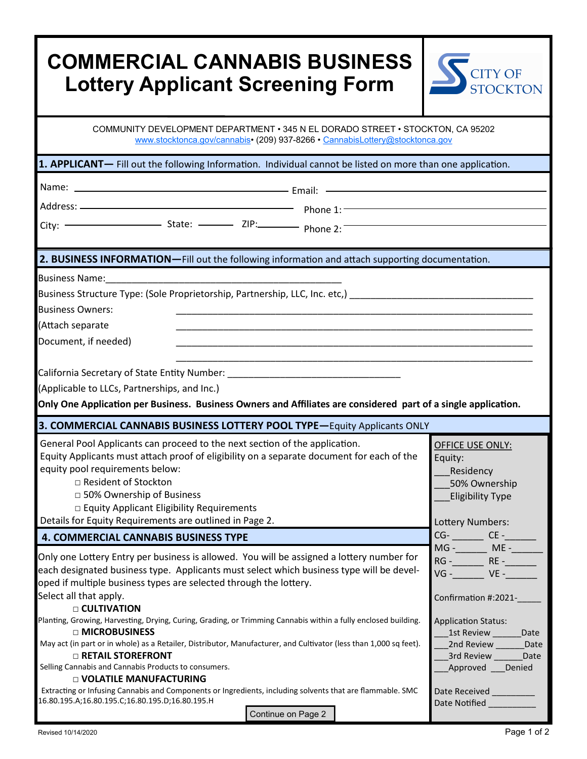| <b>COMMERCIAL CANNABIS BUSINESS</b><br><b>Lottery Applicant Screening Form</b>                                                                                                                                                                                                                                                                                                                           | <b>CITY OF</b><br><b>STOCKTON</b>                                                                                             |
|----------------------------------------------------------------------------------------------------------------------------------------------------------------------------------------------------------------------------------------------------------------------------------------------------------------------------------------------------------------------------------------------------------|-------------------------------------------------------------------------------------------------------------------------------|
| COMMUNITY DEVELOPMENT DEPARTMENT · 345 N EL DORADO STREET · STOCKTON, CA 95202<br>www.stocktonca.gov/cannabis• (209) 937-8266 • CannabisLottery@stocktonca.gov                                                                                                                                                                                                                                           |                                                                                                                               |
| 1. APPLICANT- Fill out the following Information. Individual cannot be listed on more than one application.                                                                                                                                                                                                                                                                                              |                                                                                                                               |
|                                                                                                                                                                                                                                                                                                                                                                                                          |                                                                                                                               |
|                                                                                                                                                                                                                                                                                                                                                                                                          |                                                                                                                               |
| City: $\overline{\phantom{a}}$ State: $\overline{\phantom{a}}$ ZIP: Phone 2:                                                                                                                                                                                                                                                                                                                             |                                                                                                                               |
| 2. BUSINESS INFORMATION-Fill out the following information and attach supporting documentation.                                                                                                                                                                                                                                                                                                          |                                                                                                                               |
| Business Structure Type: (Sole Proprietorship, Partnership, LLC, Inc. etc,)<br><b>Business Owners:</b><br>(Attach separate<br>Document, if needed)<br>California Secretary of State Entity Number: ___________________________________<br>(Applicable to LLCs, Partnerships, and Inc.)<br>Only One Application per Business. Business Owners and Affiliates are considered part of a single application. |                                                                                                                               |
| 3. COMMERCIAL CANNABIS BUSINESS LOTTERY POOL TYPE-Equity Applicants ONLY                                                                                                                                                                                                                                                                                                                                 |                                                                                                                               |
| General Pool Applicants can proceed to the next section of the application.<br>Equity Applicants must attach proof of eligibility on a separate document for each of the<br>equity pool requirements below:<br>□ Resident of Stockton<br>□ 50% Ownership of Business<br>□ Equity Applicant Eligibility Requirements<br>Details for Equity Requirements are outlined in Page 2.                           | OFFICE USE ONLY:<br>Equity:<br>Residency<br>50% Ownership<br><b>Eligibility Type</b><br>Lottery Numbers:                      |
| <b>4. COMMERCIAL CANNABIS BUSINESS TYPE</b>                                                                                                                                                                                                                                                                                                                                                              | $CG$ - $CE$ -<br>MG -_______ ME -______                                                                                       |
| Only one Lottery Entry per business is allowed. You will be assigned a lottery number for<br>each designated business type. Applicants must select which business type will be devel-<br>oped if multiple business types are selected through the lottery.<br>Select all that apply.<br>□ CULTIVATION                                                                                                    | RG - RE - RE -<br>$VG  VE -$<br>Confirmation #:2021-                                                                          |
| Planting, Growing, Harvesting, Drying, Curing, Grading, or Trimming Cannabis within a fully enclosed building.<br>□ MICROBUSINESS<br>May act (in part or in whole) as a Retailer, Distributor, Manufacturer, and Cultivator (less than 1,000 sq feet).<br><b>D RETAIL STOREFRONT</b><br>Selling Cannabis and Cannabis Products to consumers.<br><b>D VOLATILE MANUFACTURING</b>                          | <b>Application Status:</b><br>1st Review ________Date<br>2nd Review _______Date<br>3rd Review _______ Date<br>Approved Denied |
| Extracting or Infusing Cannabis and Components or Ingredients, including solvents that are flammable. SMC<br>16.80.195.A;16.80.195.C;16.80.195.D;16.80.195.H<br>Continue on Page 2                                                                                                                                                                                                                       | Date Received ________<br>Date Notified __________                                                                            |